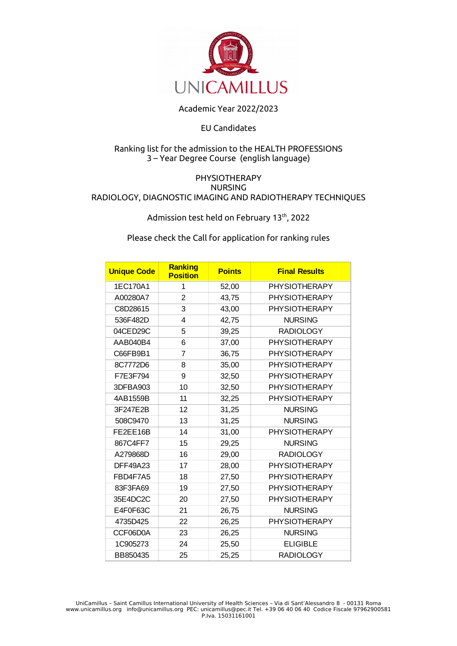

## Academic Year 2022/2023

## EU Candidates

## Ranking list for the admission to the HEALTH PROFESSIONS 3 – Year Degree Course (english language)

## PHYSIOTHERAPY NURSING RADIOLOGY, DIAGNOSTIC IMAGING AND RADIOTHERAPY TECHNIQUES

Admission test held on February 13 $^{\rm th}$ , 2022

Please check the Call for application for ranking rules

| <b>Unique Code</b> | Ranking<br><b>Position</b> | <b>Points</b> | <b>Final Results</b> |
|--------------------|----------------------------|---------------|----------------------|
| 1EC170A1           | 1                          | 52,00         | <b>PHYSIOTHERAPY</b> |
| A00280A7           | $\overline{c}$             | 43,75         | <b>PHYSIOTHERAPY</b> |
| C8D28615           | 3                          | 43,00         | <b>PHYSIOTHERAPY</b> |
| 536F482D           | 4                          | 42,75         | <b>NURSING</b>       |
| 04CED29C           | 5                          | 39,25         | <b>RADIOLOGY</b>     |
| AAB040B4           | 6                          | 37,00         | <b>PHYSIOTHERAPY</b> |
| C66FB9B1           | 7                          | 36,75         | <b>PHYSIOTHERAPY</b> |
| 8C7772D6           | 8                          | 35,00         | <b>PHYSIOTHERAPY</b> |
| F7E3F794           | 9                          | 32,50         | <b>PHYSIOTHERAPY</b> |
| 3DFBA903           | 10                         | 32,50         | <b>PHYSIOTHERAPY</b> |
| 4AB1559B           | 11                         | 32,25         | <b>PHYSIOTHERAPY</b> |
| 3F247E2B           | 12                         | 31,25         | <b>NURSING</b>       |
| 508C9470           | 13                         | 31,25         | <b>NURSING</b>       |
| FE2EE16B           | 14                         | 31,00         | <b>PHYSIOTHERAPY</b> |
| 867C4FF7           | 15                         | 29,25         | <b>NURSING</b>       |
| A279868D           | 16                         | 29,00         | <b>RADIOLOGY</b>     |
| <b>DFF49A23</b>    | 17                         | 28,00         | <b>PHYSIOTHERAPY</b> |
| FBD4F7A5           | 18                         | 27,50         | <b>PHYSIOTHERAPY</b> |
| 83F3FA69           | 19                         | 27,50         | <b>PHYSIOTHERAPY</b> |
| 35E4DC2C           | 20                         | 27,50         | <b>PHYSIOTHERAPY</b> |
| E4F0F63C           | 21                         | 26,75         | <b>NURSING</b>       |
| 4735D425           | 22                         | 26,25         | <b>PHYSIOTHERAPY</b> |
| CCF06D0A           | 23                         | 26,25         | <b>NURSING</b>       |
| 1C905273           | 24                         | 25,50         | <b>ELIGIBLE</b>      |
| BB850435           | 25                         | 25,25         | <b>RADIOLOGY</b>     |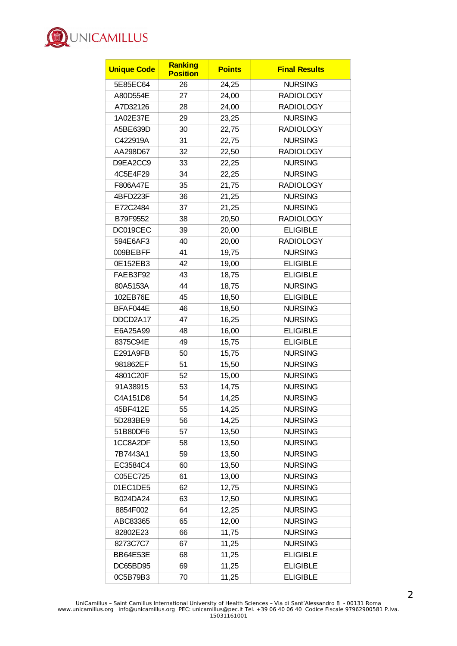

| <b>Unique Code</b> | Ranking<br><b>Position</b> | <b>Points</b> | <b>Final Results</b> |
|--------------------|----------------------------|---------------|----------------------|
| 5E85EC64           | 26                         | 24,25         | <b>NURSING</b>       |
| A80D554E           | 27                         | 24,00         | <b>RADIOLOGY</b>     |
| A7D32126           | 28                         | 24,00         | <b>RADIOLOGY</b>     |
| 1A02E37E           | 29                         | 23,25         | <b>NURSING</b>       |
| A5BE639D           | 30                         | 22,75         | <b>RADIOLOGY</b>     |
| C422919A           | 31                         | 22,75         | <b>NURSING</b>       |
| AA298D67           | 32                         | 22,50         | <b>RADIOLOGY</b>     |
| D9EA2CC9           | 33                         | 22,25         | <b>NURSING</b>       |
| 4C5E4F29           | 34                         | 22,25         | <b>NURSING</b>       |
| F806A47E           | 35                         | 21,75         | <b>RADIOLOGY</b>     |
| 4BFD223F           | 36                         | 21,25         | <b>NURSING</b>       |
| E72C2484           | 37                         | 21,25         | <b>NURSING</b>       |
| B79F9552           | 38                         | 20,50         | <b>RADIOLOGY</b>     |
| DC019CEC           | 39                         | 20,00         | <b>ELIGIBLE</b>      |
| 594E6AF3           | 40                         | 20,00         | <b>RADIOLOGY</b>     |
| 009BEBFF           | 41                         | 19,75         | <b>NURSING</b>       |
| 0E152EB3           | 42                         | 19,00         | <b>ELIGIBLE</b>      |
| FAEB3F92           | 43                         | 18,75         | <b>ELIGIBLE</b>      |
| 80A5153A           | 44                         | 18,75         | <b>NURSING</b>       |
| 102EB76E           | 45                         | 18,50         | <b>ELIGIBLE</b>      |
| BFAF044E           | 46                         | 18,50         | <b>NURSING</b>       |
| DDCD2A17           | 47                         | 16,25         | <b>NURSING</b>       |
| E6A25A99           | 48                         | 16,00         | <b>ELIGIBLE</b>      |
| 8375C94E           | 49                         | 15,75         | <b>ELIGIBLE</b>      |
| E291A9FB           | 50                         | 15,75         | <b>NURSING</b>       |
| 981862EF           | 51                         | 15,50         | <b>NURSING</b>       |
| 4801C20F           | 52                         | 15,00         | <b>NURSING</b>       |
| 91A38915           | 53                         | 14,75         | <b>NURSING</b>       |
| C4A151D8           | 54                         | 14,25         | <b>NURSING</b>       |
| 45BF412E           | 55                         | 14,25         | <b>NURSING</b>       |
| 5D283BE9           | 56                         | 14,25         | <b>NURSING</b>       |
| 51B80DF6           | 57                         | 13,50         | <b>NURSING</b>       |
| 1CC8A2DF           | 58                         | 13,50         | <b>NURSING</b>       |
| 7B7443A1           | 59                         | 13,50         | <b>NURSING</b>       |
| EC3584C4           | 60                         | 13,50         | <b>NURSING</b>       |
| C05EC725           | 61                         | 13,00         | <b>NURSING</b>       |
| 01EC1DE5           | 62                         | 12,75         | <b>NURSING</b>       |
| B024DA24           | 63                         | 12,50         | <b>NURSING</b>       |
| 8854F002           | 64                         | 12,25         | <b>NURSING</b>       |
| ABC83365           | 65                         | 12,00         | <b>NURSING</b>       |
| 82802E23           | 66                         | 11,75         | <b>NURSING</b>       |
| 8273C7C7           | 67                         | 11,25         | <b>NURSING</b>       |
| BB64E53E           | 68                         | 11,25         | <b>ELIGIBLE</b>      |
| DC65BD95           | 69                         | 11,25         | <b>ELIGIBLE</b>      |
| OC5B79B3           | 70                         | 11,25         | <b>ELIGIBLE</b>      |